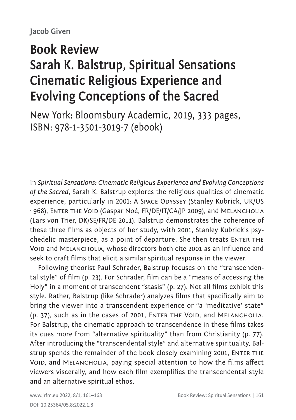## **Book Review Sarah K. Balstrup, Spiritual Sensations Cinematic Religious Experience and Evolving Conceptions of the Sacred**

New York: Bloomsbury Academic, 2019, 333 pages, ISBN: 978-1-3501-3019-7 (ebook)

In *Spiritual Sensations: Cinematic Religious Experience and Evolving Conceptions of the Sacred*, Sarah K. Balstrup explores the religious qualities of cinematic experience, particularly in 2001: A SPACE ODYSSEY (Stanley Kubrick, UK/US <sup>1</sup> 968), Enter the Void (Gaspar Noé, FR/DE/IT/CA/JP 2009), and Melancholia (Lars von Trier, DK/SE/FR/DE 2011). Balstrup demonstrates the coherence of these three films as objects of her study, with 2001, Stanley Kubrick's psychedelic masterpiece, as a point of departure. She then treats ENTER THE VOID and MELANCHOLIA, whose directors both cite 2001 as an influence and seek to craft films that elicit a similar spiritual response in the viewer.

Following theorist Paul Schrader, Balstrup focuses on the "transcendental style" of film (p. 23). For Schrader, film can be a "means of accessing the Holy" in a moment of transcendent "stasis" (p. 27). Not all films exhibit this style. Rather, Balstrup (like Schrader) analyzes films that specifically aim to bring the viewer into a transcendent experience or "a 'meditative' state" (p. 37), such as in the cases of 2001, ENTER THE VOID, and MELANCHOLIA. For Balstrup, the cinematic approach to transcendence in these films takes its cues more from "alternative spirituality" than from Christianity (p. 77). After introducing the "transcendental style" and alternative spirituality, Balstrup spends the remainder of the book closely examining 2001, ENTER THE VOID, and MELANCHOLIA, paying special attention to how the films affect viewers viscerally, and how each film exemplifies the transcendental style and an alternative spiritual ethos.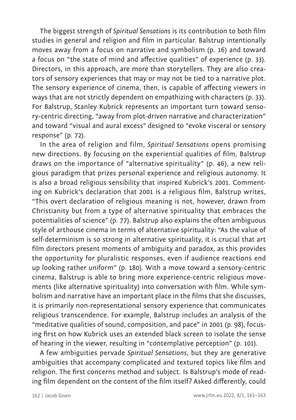The biggest strength of *Spiritual Sensations* is its contribution to both film studies in general and religion and film in particular. Balstrup intentionally moves away from a focus on narrative and symbolism (p. 16) and toward a focus on "the state of mind and affective qualities" of experience (p. 33). Directors, in this approach, are more than storytellers. They are also creators of sensory experiences that may or may not be tied to a narrative plot. The sensory experience of cinema, then, is capable of affecting viewers in ways that are not strictly dependent on empathizing with characters (p. 33). For Balstrup, Stanley Kubrick represents an important turn toward sensory-centric directing, "away from plot-driven narrative and characterization" and toward "visual and aural excess" designed to "evoke visceral or sensory response" (p. 72).

In the area of religion and film, *Spiritual Sensations* opens promising new directions. By focusing on the experiential qualities of film, Balstrup draws on the importance of "alternative spirituality" (p. 46), a new religious paradigm that prizes personal experience and religious autonomy. It is also a broad religious sensibility that inspired Kubrick's 2001. Commenting on Kubrick's declaration that 2001 is a religious film, Balstrup writes, "This overt declaration of religious meaning is not, however, drawn from Christianity but from a type of alternative spirituality that embraces the potentialities of science" (p. 77). Balstrup also explains the often ambiguous style of arthouse cinema in terms of alternative spirituality: "As the value of self-determinism is so strong in alternative spirituality, it is crucial that art film directors present moments of ambiguity and paradox, as this provides the opportunity for pluralistic responses, even if audience reactions end up looking rather uniform" (p. 180). With a move toward a sensory-centric cinema, Balstrup is able to bring more experience-centric religious movements (like alternative spirituality) into conversation with film. While symbolism and narrative have an important place in the films that she discusses, it is primarily non-representational sensory experience that communicates religious transcendence. For example, Balstrup includes an analysis of the "meditative qualities of sound, composition, and pace" in 2001 (p. 98), focusing first on how Kubrick uses an extended black screen to isolate the sense of hearing in the viewer, resulting in "contemplative perception" (p. 101).

A few ambiguities pervade *Spiritual Sensations*, but they are generative ambiguities that accompany complicated and textured topics like film and religion. The first concerns method and subject. Is Balstrup's mode of reading film dependent on the content of the film itself? Asked differently, could